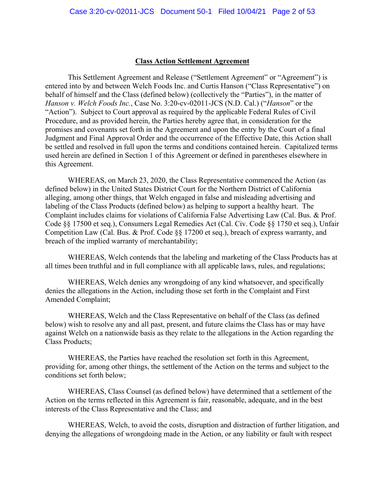#### **Class Action Settlement Agreement**

This Settlement Agreement and Release ("Settlement Agreement" or "Agreement") is entered into by and between Welch Foods Inc. and Curtis Hanson ("Class Representative") on behalf of himself and the Class (defined below) (collectively the "Parties"), in the matter of *Hanson v. Welch Foods Inc.*, Case No. 3:20-cv-02011-JCS (N.D. Cal.) ("*Hanson*" or the "Action"). Subject to Court approval as required by the applicable Federal Rules of Civil Procedure, and as provided herein, the Parties hereby agree that, in consideration for the promises and covenants set forth in the Agreement and upon the entry by the Court of a final Judgment and Final Approval Order and the occurrence of the Effective Date, this Action shall be settled and resolved in full upon the terms and conditions contained herein. Capitalized terms used herein are defined in Section 1 of this Agreement or defined in parentheses elsewhere in this Agreement.

WHEREAS, on March 23, 2020, the Class Representative commenced the Action (as defined below) in the United States District Court for the Northern District of California alleging, among other things, that Welch engaged in false and misleading advertising and labeling of the Class Products (defined below) as helping to support a healthy heart. The Complaint includes claims for violations of California False Advertising Law (Cal. Bus. & Prof. Code §§ 17500 et seq.), Consumers Legal Remedies Act (Cal. Civ. Code §§ 1750 et seq.), Unfair Competition Law (Cal. Bus. & Prof. Code §§ 17200 et seq.), breach of express warranty, and breach of the implied warranty of merchantability;

WHEREAS, Welch contends that the labeling and marketing of the Class Products has at all times been truthful and in full compliance with all applicable laws, rules, and regulations;

WHEREAS, Welch denies any wrongdoing of any kind whatsoever, and specifically denies the allegations in the Action, including those set forth in the Complaint and First Amended Complaint;

WHEREAS, Welch and the Class Representative on behalf of the Class (as defined below) wish to resolve any and all past, present, and future claims the Class has or may have against Welch on a nationwide basis as they relate to the allegations in the Action regarding the Class Products;

WHEREAS, the Parties have reached the resolution set forth in this Agreement, providing for, among other things, the settlement of the Action on the terms and subject to the conditions set forth below;

WHEREAS, Class Counsel (as defined below) have determined that a settlement of the Action on the terms reflected in this Agreement is fair, reasonable, adequate, and in the best interests of the Class Representative and the Class; and

WHEREAS, Welch, to avoid the costs, disruption and distraction of further litigation, and denying the allegations of wrongdoing made in the Action, or any liability or fault with respect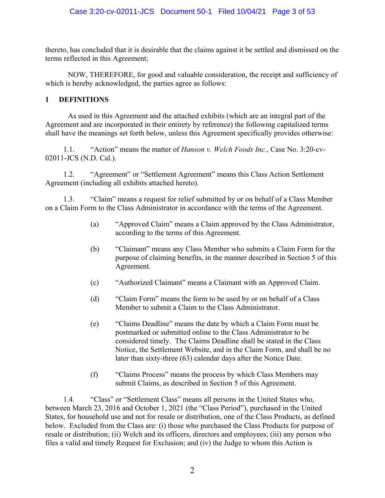thereto, has concluded that it is desirable that the claims against it be settled and dismissed on the terms reflected in this Agreement;

NOW, THEREFORE, for good and valuable consideration, the receipt and sufficiency of which is hereby acknowledged, the parties agree as follows:

#### **1 DEFINITIONS**

As used in this Agreement and the attached exhibits (which are an integral part of the Agreement and are incorporated in their entirety by reference) the following capitalized terms shall have the meanings set forth below, unless this Agreement specifically provides otherwise:

1.1. "Action" means the matter of *Hanson v. Welch Foods Inc.*, Case No. 3:20-cv-02011-JCS (N.D. Cal.).

1.2. "Agreement" or "Settlement Agreement" means this Class Action Settlement Agreement (including all exhibits attached hereto).

1.3. "Claim" means a request for relief submitted by or on behalf of a Class Member on a Claim Form to the Class Administrator in accordance with the terms of the Agreement.

- (a) "Approved Claim" means a Claim approved by the Class Administrator, according to the terms of this Agreement.
- (b) "Claimant" means any Class Member who submits a Claim Form for the purpose of claiming benefits, in the manner described in Section 5 of this Agreement.
- (c) "Authorized Claimant" means a Claimant with an Approved Claim.
- (d) "Claim Form" means the form to be used by or on behalf of a Class Member to submit a Claim to the Class Administrator.
- (e) "Claims Deadline" means the date by which a Claim Form must be postmarked or submitted online to the Class Administrator to be considered timely. The Claims Deadline shall be stated in the Class Notice, the Settlement Website, and in the Claim Form, and shall be no later than sixty-three (63) calendar days after the Notice Date.
- (f) "Claims Process" means the process by which Class Members may submit Claims, as described in Section 5 of this Agreement.

1.4. "Class" or "Settlement Class" means all persons in the United States who, between March 23, 2016 and October 1, 2021 (the "Class Period"), purchased in the United States, for household use and not for resale or distribution, one of the Class Products, as defined below. Excluded from the Class are: (i) those who purchased the Class Products for purpose of resale or distribution; (ii) Welch and its officers, directors and employees; (iii) any person who files a valid and timely Request for Exclusion; and (iv) the Judge to whom this Action is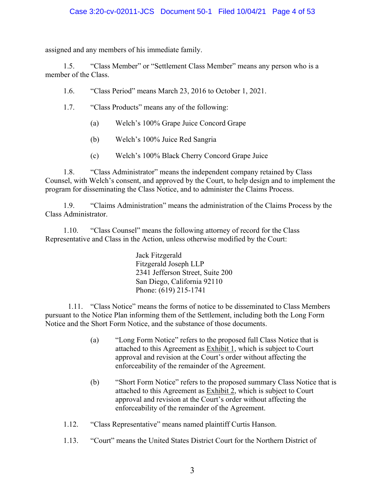assigned and any members of his immediate family.

1.5. "Class Member" or "Settlement Class Member" means any person who is a member of the Class.

1.6. "Class Period" means March 23, 2016 to October 1, 2021.

- 1.7. "Class Products" means any of the following:
	- (a) Welch's 100% Grape Juice Concord Grape
	- (b) Welch's 100% Juice Red Sangria
	- (c) Welch's 100% Black Cherry Concord Grape Juice

1.8. "Class Administrator" means the independent company retained by Class Counsel, with Welch's consent, and approved by the Court, to help design and to implement the program for disseminating the Class Notice, and to administer the Claims Process.

1.9. "Claims Administration" means the administration of the Claims Process by the Class Administrator.

1.10. "Class Counsel" means the following attorney of record for the Class Representative and Class in the Action, unless otherwise modified by the Court:

> Jack Fitzgerald Fitzgerald Joseph LLP 2341 Jefferson Street, Suite 200 San Diego, California 92110 Phone: (619) 215-1741

1.11. "Class Notice" means the forms of notice to be disseminated to Class Members pursuant to the Notice Plan informing them of the Settlement, including both the Long Form Notice and the Short Form Notice, and the substance of those documents.

- (a) "Long Form Notice" refers to the proposed full Class Notice that is attached to this Agreement as Exhibit 1, which is subject to Court approval and revision at the Court's order without affecting the enforceability of the remainder of the Agreement.
- (b) "Short Form Notice" refers to the proposed summary Class Notice that is attached to this Agreement as **Exhibit 2**, which is subject to Court approval and revision at the Court's order without affecting the enforceability of the remainder of the Agreement.
- 1.12. "Class Representative" means named plaintiff Curtis Hanson.
- 1.13. "Court" means the United States District Court for the Northern District of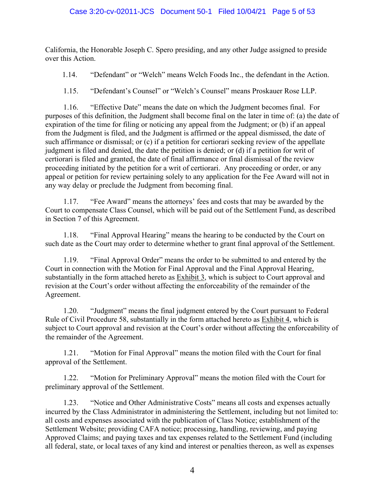California, the Honorable Joseph C. Spero presiding, and any other Judge assigned to preside over this Action.

1.14. "Defendant" or "Welch" means Welch Foods Inc., the defendant in the Action.

1.15. "Defendant's Counsel" or "Welch's Counsel" means Proskauer Rose LLP.

1.16. "Effective Date" means the date on which the Judgment becomes final. For purposes of this definition, the Judgment shall become final on the later in time of: (a) the date of expiration of the time for filing or noticing any appeal from the Judgment; or (b) if an appeal from the Judgment is filed, and the Judgment is affirmed or the appeal dismissed, the date of such affirmance or dismissal; or (c) if a petition for certiorari seeking review of the appellate judgment is filed and denied, the date the petition is denied; or (d) if a petition for writ of certiorari is filed and granted, the date of final affirmance or final dismissal of the review proceeding initiated by the petition for a writ of certiorari. Any proceeding or order, or any appeal or petition for review pertaining solely to any application for the Fee Award will not in any way delay or preclude the Judgment from becoming final.

1.17. "Fee Award" means the attorneys' fees and costs that may be awarded by the Court to compensate Class Counsel, which will be paid out of the Settlement Fund, as described in Section 7 of this Agreement.

1.18. "Final Approval Hearing" means the hearing to be conducted by the Court on such date as the Court may order to determine whether to grant final approval of the Settlement.

1.19. "Final Approval Order" means the order to be submitted to and entered by the Court in connection with the Motion for Final Approval and the Final Approval Hearing, substantially in the form attached hereto as Exhibit 3, which is subject to Court approval and revision at the Court's order without affecting the enforceability of the remainder of the Agreement.

1.20. "Judgment" means the final judgment entered by the Court pursuant to Federal Rule of Civil Procedure 58, substantially in the form attached hereto as Exhibit 4, which is subject to Court approval and revision at the Court's order without affecting the enforceability of the remainder of the Agreement.

1.21. "Motion for Final Approval" means the motion filed with the Court for final approval of the Settlement.

1.22. "Motion for Preliminary Approval" means the motion filed with the Court for preliminary approval of the Settlement.

1.23. "Notice and Other Administrative Costs" means all costs and expenses actually incurred by the Class Administrator in administering the Settlement, including but not limited to: all costs and expenses associated with the publication of Class Notice; establishment of the Settlement Website; providing CAFA notice; processing, handling, reviewing, and paying Approved Claims; and paying taxes and tax expenses related to the Settlement Fund (including all federal, state, or local taxes of any kind and interest or penalties thereon, as well as expenses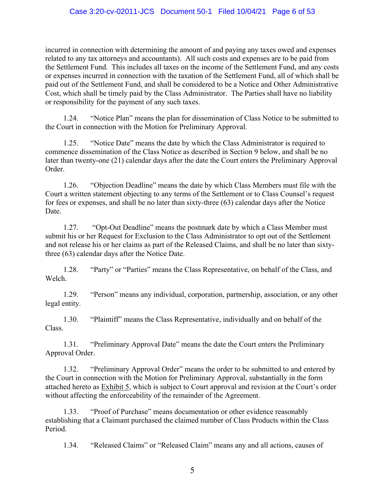incurred in connection with determining the amount of and paying any taxes owed and expenses related to any tax attorneys and accountants). All such costs and expenses are to be paid from the Settlement Fund. This includes all taxes on the income of the Settlement Fund, and any costs or expenses incurred in connection with the taxation of the Settlement Fund, all of which shall be paid out of the Settlement Fund, and shall be considered to be a Notice and Other Administrative Cost, which shall be timely paid by the Class Administrator. The Parties shall have no liability or responsibility for the payment of any such taxes.

1.24. "Notice Plan" means the plan for dissemination of Class Notice to be submitted to the Court in connection with the Motion for Preliminary Approval.

1.25. "Notice Date" means the date by which the Class Administrator is required to commence dissemination of the Class Notice as described in Section 9 below, and shall be no later than twenty-one (21) calendar days after the date the Court enters the Preliminary Approval Order.

1.26. "Objection Deadline" means the date by which Class Members must file with the Court a written statement objecting to any terms of the Settlement or to Class Counsel's request for fees or expenses, and shall be no later than sixty-three (63) calendar days after the Notice Date.

1.27. "Opt-Out Deadline" means the postmark date by which a Class Member must submit his or her Request for Exclusion to the Class Administrator to opt out of the Settlement and not release his or her claims as part of the Released Claims, and shall be no later than sixtythree (63) calendar days after the Notice Date.

1.28. "Party" or "Parties" means the Class Representative, on behalf of the Class, and Welch.

1.29. "Person" means any individual, corporation, partnership, association, or any other legal entity.

1.30. "Plaintiff" means the Class Representative, individually and on behalf of the Class.

1.31. "Preliminary Approval Date" means the date the Court enters the Preliminary Approval Order.

1.32. "Preliminary Approval Order" means the order to be submitted to and entered by the Court in connection with the Motion for Preliminary Approval, substantially in the form attached hereto as Exhibit 5, which is subject to Court approval and revision at the Court's order without affecting the enforceability of the remainder of the Agreement.

1.33. "Proof of Purchase" means documentation or other evidence reasonably establishing that a Claimant purchased the claimed number of Class Products within the Class Period.

1.34. "Released Claims" or "Released Claim" means any and all actions, causes of

5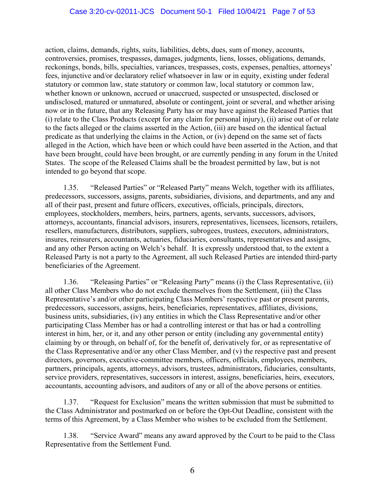action, claims, demands, rights, suits, liabilities, debts, dues, sum of money, accounts, controversies, promises, trespasses, damages, judgments, liens, losses, obligations, demands, reckonings, bonds, bills, specialties, variances, trespasses, costs, expenses, penalties, attorneys' fees, injunctive and/or declaratory relief whatsoever in law or in equity, existing under federal statutory or common law, state statutory or common law, local statutory or common law, whether known or unknown, accrued or unaccrued, suspected or unsuspected, disclosed or undisclosed, matured or unmatured, absolute or contingent, joint or several, and whether arising now or in the future, that any Releasing Party has or may have against the Released Parties that (i) relate to the Class Products (except for any claim for personal injury), (ii) arise out of or relate to the facts alleged or the claims asserted in the Action, (iii) are based on the identical factual predicate as that underlying the claims in the Action, or (iv) depend on the same set of facts alleged in the Action, which have been or which could have been asserted in the Action, and that have been brought, could have been brought, or are currently pending in any forum in the United States. The scope of the Released Claims shall be the broadest permitted by law, but is not intended to go beyond that scope.

1.35. "Released Parties" or "Released Party" means Welch, together with its affiliates, predecessors, successors, assigns, parents, subsidiaries, divisions, and departments, and any and all of their past, present and future officers, executives, officials, principals, directors, employees, stockholders, members, heirs, partners, agents, servants, successors, advisors, attorneys, accountants, financial advisors, insurers, representatives, licensees, licensors, retailers, resellers, manufacturers, distributors, suppliers, subrogees, trustees, executors, administrators, insures, reinsurers, accountants, actuaries, fiduciaries, consultants, representatives and assigns, and any other Person acting on Welch's behalf. It is expressly understood that, to the extent a Released Party is not a party to the Agreement, all such Released Parties are intended third-party beneficiaries of the Agreement.

1.36. "Releasing Parties" or "Releasing Party" means (i) the Class Representative, (ii) all other Class Members who do not exclude themselves from the Settlement, (iii) the Class Representative's and/or other participating Class Members' respective past or present parents, predecessors, successors, assigns, heirs, beneficiaries, representatives, affiliates, divisions, business units, subsidiaries, (iv) any entities in which the Class Representative and/or other participating Class Member has or had a controlling interest or that has or had a controlling interest in him, her, or it, and any other person or entity (including any governmental entity) claiming by or through, on behalf of, for the benefit of, derivatively for, or as representative of the Class Representative and/or any other Class Member, and (v) the respective past and present directors, governors, executive-committee members, officers, officials, employees, members, partners, principals, agents, attorneys, advisors, trustees, administrators, fiduciaries, consultants, service providers, representatives, successors in interest, assigns, beneficiaries, heirs, executors, accountants, accounting advisors, and auditors of any or all of the above persons or entities.

1.37. "Request for Exclusion" means the written submission that must be submitted to the Class Administrator and postmarked on or before the Opt-Out Deadline, consistent with the terms of this Agreement, by a Class Member who wishes to be excluded from the Settlement.

1.38. "Service Award" means any award approved by the Court to be paid to the Class Representative from the Settlement Fund.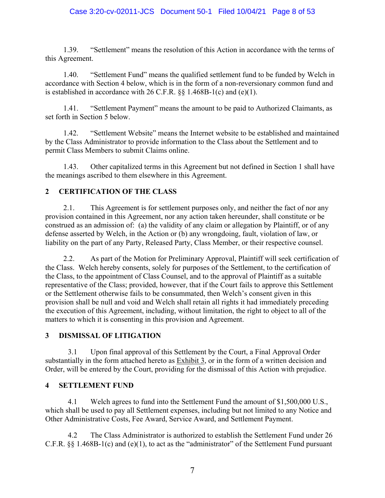1.39. "Settlement" means the resolution of this Action in accordance with the terms of this Agreement.

1.40. "Settlement Fund" means the qualified settlement fund to be funded by Welch in accordance with Section 4 below, which is in the form of a non-reversionary common fund and is established in accordance with 26 C.F.R.  $\S$ § 1.468B-1(c) and (e)(1).

1.41. "Settlement Payment" means the amount to be paid to Authorized Claimants, as set forth in Section 5 below.

1.42. "Settlement Website" means the Internet website to be established and maintained by the Class Administrator to provide information to the Class about the Settlement and to permit Class Members to submit Claims online.

1.43. Other capitalized terms in this Agreement but not defined in Section 1 shall have the meanings ascribed to them elsewhere in this Agreement.

# **2 CERTIFICATION OF THE CLASS**

2.1. This Agreement is for settlement purposes only, and neither the fact of nor any provision contained in this Agreement, nor any action taken hereunder, shall constitute or be construed as an admission of: (a) the validity of any claim or allegation by Plaintiff, or of any defense asserted by Welch, in the Action or (b) any wrongdoing, fault, violation of law, or liability on the part of any Party, Released Party, Class Member, or their respective counsel.

2.2. As part of the Motion for Preliminary Approval, Plaintiff will seek certification of the Class. Welch hereby consents, solely for purposes of the Settlement, to the certification of the Class, to the appointment of Class Counsel, and to the approval of Plaintiff as a suitable representative of the Class; provided, however, that if the Court fails to approve this Settlement or the Settlement otherwise fails to be consummated, then Welch's consent given in this provision shall be null and void and Welch shall retain all rights it had immediately preceding the execution of this Agreement, including, without limitation, the right to object to all of the matters to which it is consenting in this provision and Agreement.

# **3 DISMISSAL OF LITIGATION**

3.1 Upon final approval of this Settlement by the Court, a Final Approval Order substantially in the form attached hereto as Exhibit 3, or in the form of a written decision and Order, will be entered by the Court, providing for the dismissal of this Action with prejudice.

# **4 SETTLEMENT FUND**

4.1 Welch agrees to fund into the Settlement Fund the amount of \$1,500,000 U.S., which shall be used to pay all Settlement expenses, including but not limited to any Notice and Other Administrative Costs, Fee Award, Service Award, and Settlement Payment.

4.2 The Class Administrator is authorized to establish the Settlement Fund under 26 C.F.R. §§ 1.468B-1(c) and (e)(1), to act as the "administrator" of the Settlement Fund pursuant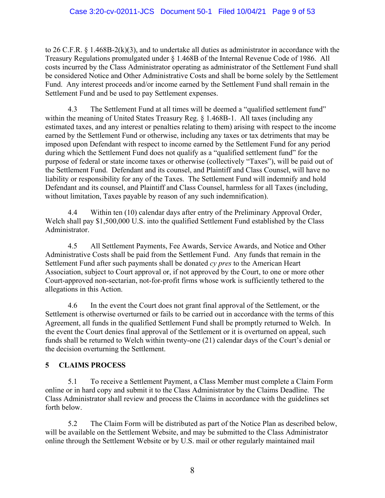#### Case 3:20-cv-02011-JCS Document 50-1 Filed 10/04/21 Page 9 of 53

to 26 C.F.R. § 1.468B-2(k)(3), and to undertake all duties as administrator in accordance with the Treasury Regulations promulgated under § 1.468B of the Internal Revenue Code of 1986. All costs incurred by the Class Administrator operating as administrator of the Settlement Fund shall be considered Notice and Other Administrative Costs and shall be borne solely by the Settlement Fund. Any interest proceeds and/or income earned by the Settlement Fund shall remain in the Settlement Fund and be used to pay Settlement expenses.

4.3 The Settlement Fund at all times will be deemed a "qualified settlement fund" within the meaning of United States Treasury Reg. § 1.468B-1. All taxes (including any estimated taxes, and any interest or penalties relating to them) arising with respect to the income earned by the Settlement Fund or otherwise, including any taxes or tax detriments that may be imposed upon Defendant with respect to income earned by the Settlement Fund for any period during which the Settlement Fund does not qualify as a "qualified settlement fund" for the purpose of federal or state income taxes or otherwise (collectively "Taxes"), will be paid out of the Settlement Fund. Defendant and its counsel, and Plaintiff and Class Counsel, will have no liability or responsibility for any of the Taxes. The Settlement Fund will indemnify and hold Defendant and its counsel, and Plaintiff and Class Counsel, harmless for all Taxes (including, without limitation, Taxes payable by reason of any such indemnification).

4.4 Within ten (10) calendar days after entry of the Preliminary Approval Order, Welch shall pay \$1,500,000 U.S. into the qualified Settlement Fund established by the Class Administrator.

4.5 All Settlement Payments, Fee Awards, Service Awards, and Notice and Other Administrative Costs shall be paid from the Settlement Fund. Any funds that remain in the Settlement Fund after such payments shall be donated *cy pres* to the American Heart Association, subject to Court approval or, if not approved by the Court, to one or more other Court-approved non-sectarian, not-for-profit firms whose work is sufficiently tethered to the allegations in this Action.

4.6 In the event the Court does not grant final approval of the Settlement, or the Settlement is otherwise overturned or fails to be carried out in accordance with the terms of this Agreement, all funds in the qualified Settlement Fund shall be promptly returned to Welch. In the event the Court denies final approval of the Settlement or it is overturned on appeal, such funds shall be returned to Welch within twenty-one (21) calendar days of the Court's denial or the decision overturning the Settlement.

#### **5 CLAIMS PROCESS**

5.1 To receive a Settlement Payment, a Class Member must complete a Claim Form online or in hard copy and submit it to the Class Administrator by the Claims Deadline. The Class Administrator shall review and process the Claims in accordance with the guidelines set forth below.

5.2 The Claim Form will be distributed as part of the Notice Plan as described below, will be available on the Settlement Website, and may be submitted to the Class Administrator online through the Settlement Website or by U.S. mail or other regularly maintained mail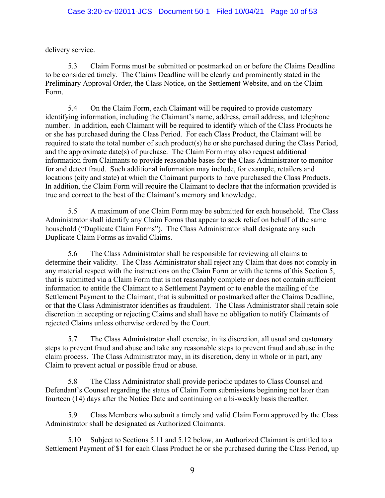delivery service.

5.3 Claim Forms must be submitted or postmarked on or before the Claims Deadline to be considered timely. The Claims Deadline will be clearly and prominently stated in the Preliminary Approval Order, the Class Notice, on the Settlement Website, and on the Claim Form.

5.4 On the Claim Form, each Claimant will be required to provide customary identifying information, including the Claimant's name, address, email address, and telephone number. In addition, each Claimant will be required to identify which of the Class Products he or she has purchased during the Class Period. For each Class Product, the Claimant will be required to state the total number of such product(s) he or she purchased during the Class Period, and the approximate date(s) of purchase. The Claim Form may also request additional information from Claimants to provide reasonable bases for the Class Administrator to monitor for and detect fraud. Such additional information may include, for example, retailers and locations (city and state) at which the Claimant purports to have purchased the Class Products. In addition, the Claim Form will require the Claimant to declare that the information provided is true and correct to the best of the Claimant's memory and knowledge.

5.5 A maximum of one Claim Form may be submitted for each household. The Class Administrator shall identify any Claim Forms that appear to seek relief on behalf of the same household ("Duplicate Claim Forms"). The Class Administrator shall designate any such Duplicate Claim Forms as invalid Claims.

5.6 The Class Administrator shall be responsible for reviewing all claims to determine their validity. The Class Administrator shall reject any Claim that does not comply in any material respect with the instructions on the Claim Form or with the terms of this Section 5, that is submitted via a Claim Form that is not reasonably complete or does not contain sufficient information to entitle the Claimant to a Settlement Payment or to enable the mailing of the Settlement Payment to the Claimant, that is submitted or postmarked after the Claims Deadline, or that the Class Administrator identifies as fraudulent. The Class Administrator shall retain sole discretion in accepting or rejecting Claims and shall have no obligation to notify Claimants of rejected Claims unless otherwise ordered by the Court.

5.7 The Class Administrator shall exercise, in its discretion, all usual and customary steps to prevent fraud and abuse and take any reasonable steps to prevent fraud and abuse in the claim process. The Class Administrator may, in its discretion, deny in whole or in part, any Claim to prevent actual or possible fraud or abuse.

5.8 The Class Administrator shall provide periodic updates to Class Counsel and Defendant's Counsel regarding the status of Claim Form submissions beginning not later than fourteen (14) days after the Notice Date and continuing on a bi-weekly basis thereafter.

5.9 Class Members who submit a timely and valid Claim Form approved by the Class Administrator shall be designated as Authorized Claimants.

5.10 Subject to Sections 5.11 and 5.12 below, an Authorized Claimant is entitled to a Settlement Payment of \$1 for each Class Product he or she purchased during the Class Period, up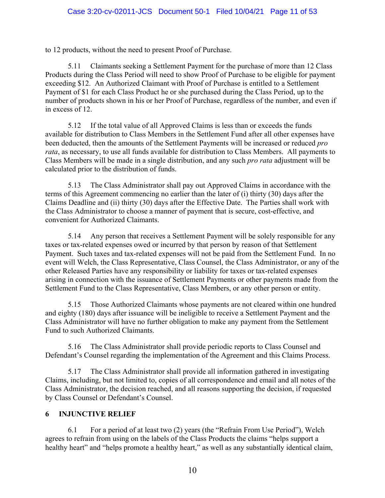to 12 products, without the need to present Proof of Purchase.

5.11 Claimants seeking a Settlement Payment for the purchase of more than 12 Class Products during the Class Period will need to show Proof of Purchase to be eligible for payment exceeding \$12. An Authorized Claimant with Proof of Purchase is entitled to a Settlement Payment of \$1 for each Class Product he or she purchased during the Class Period, up to the number of products shown in his or her Proof of Purchase, regardless of the number, and even if in excess of 12.

5.12 If the total value of all Approved Claims is less than or exceeds the funds available for distribution to Class Members in the Settlement Fund after all other expenses have been deducted, then the amounts of the Settlement Payments will be increased or reduced *pro rata*, as necessary, to use all funds available for distribution to Class Members. All payments to Class Members will be made in a single distribution, and any such *pro rata* adjustment will be calculated prior to the distribution of funds.

5.13 The Class Administrator shall pay out Approved Claims in accordance with the terms of this Agreement commencing no earlier than the later of (i) thirty (30) days after the Claims Deadline and (ii) thirty (30) days after the Effective Date. The Parties shall work with the Class Administrator to choose a manner of payment that is secure, cost-effective, and convenient for Authorized Claimants.

5.14 Any person that receives a Settlement Payment will be solely responsible for any taxes or tax-related expenses owed or incurred by that person by reason of that Settlement Payment. Such taxes and tax-related expenses will not be paid from the Settlement Fund. In no event will Welch, the Class Representative, Class Counsel, the Class Administrator, or any of the other Released Parties have any responsibility or liability for taxes or tax-related expenses arising in connection with the issuance of Settlement Payments or other payments made from the Settlement Fund to the Class Representative, Class Members, or any other person or entity.

5.15 Those Authorized Claimants whose payments are not cleared within one hundred and eighty (180) days after issuance will be ineligible to receive a Settlement Payment and the Class Administrator will have no further obligation to make any payment from the Settlement Fund to such Authorized Claimants.

5.16 The Class Administrator shall provide periodic reports to Class Counsel and Defendant's Counsel regarding the implementation of the Agreement and this Claims Process.

5.17 The Class Administrator shall provide all information gathered in investigating Claims, including, but not limited to, copies of all correspondence and email and all notes of the Class Administrator, the decision reached, and all reasons supporting the decision, if requested by Class Counsel or Defendant's Counsel.

# **6 INJUNCTIVE RELIEF**

6.1 For a period of at least two (2) years (the "Refrain From Use Period"), Welch agrees to refrain from using on the labels of the Class Products the claims "helps support a healthy heart" and "helps promote a healthy heart," as well as any substantially identical claim,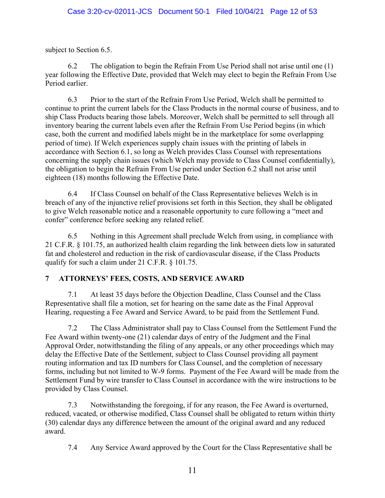subject to Section 6.5.

6.2 The obligation to begin the Refrain From Use Period shall not arise until one (1) year following the Effective Date, provided that Welch may elect to begin the Refrain From Use Period earlier.

6.3 Prior to the start of the Refrain From Use Period, Welch shall be permitted to continue to print the current labels for the Class Products in the normal course of business, and to ship Class Products bearing those labels. Moreover, Welch shall be permitted to sell through all inventory bearing the current labels even after the Refrain From Use Period begins (in which case, both the current and modified labels might be in the marketplace for some overlapping period of time). If Welch experiences supply chain issues with the printing of labels in accordance with Section 6.1, so long as Welch provides Class Counsel with representations concerning the supply chain issues (which Welch may provide to Class Counsel confidentially), the obligation to begin the Refrain From Use period under Section 6.2 shall not arise until eighteen (18) months following the Effective Date.

6.4 If Class Counsel on behalf of the Class Representative believes Welch is in breach of any of the injunctive relief provisions set forth in this Section, they shall be obligated to give Welch reasonable notice and a reasonable opportunity to cure following a "meet and confer" conference before seeking any related relief.

6.5 Nothing in this Agreement shall preclude Welch from using, in compliance with 21 C.F.R. § 101.75, an authorized health claim regarding the link between diets low in saturated fat and cholesterol and reduction in the risk of cardiovascular disease, if the Class Products qualify for such a claim under 21 C.F.R. § 101.75.

# **7 ATTORNEYS' FEES, COSTS, AND SERVICE AWARD**

7.1 At least 35 days before the Objection Deadline, Class Counsel and the Class Representative shall file a motion, set for hearing on the same date as the Final Approval Hearing, requesting a Fee Award and Service Award, to be paid from the Settlement Fund.

7.2 The Class Administrator shall pay to Class Counsel from the Settlement Fund the Fee Award within twenty-one (21) calendar days of entry of the Judgment and the Final Approval Order, notwithstanding the filing of any appeals, or any other proceedings which may delay the Effective Date of the Settlement, subject to Class Counsel providing all payment routing information and tax ID numbers for Class Counsel, and the completion of necessary forms, including but not limited to W-9 forms. Payment of the Fee Award will be made from the Settlement Fund by wire transfer to Class Counsel in accordance with the wire instructions to be provided by Class Counsel.

7.3 Notwithstanding the foregoing, if for any reason, the Fee Award is overturned, reduced, vacated, or otherwise modified, Class Counsel shall be obligated to return within thirty (30) calendar days any difference between the amount of the original award and any reduced award.

7.4 Any Service Award approved by the Court for the Class Representative shall be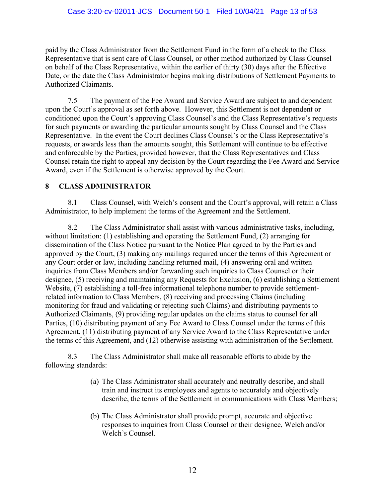paid by the Class Administrator from the Settlement Fund in the form of a check to the Class Representative that is sent care of Class Counsel, or other method authorized by Class Counsel on behalf of the Class Representative, within the earlier of thirty (30) days after the Effective Date, or the date the Class Administrator begins making distributions of Settlement Payments to Authorized Claimants.

7.5 The payment of the Fee Award and Service Award are subject to and dependent upon the Court's approval as set forth above. However, this Settlement is not dependent or conditioned upon the Court's approving Class Counsel's and the Class Representative's requests for such payments or awarding the particular amounts sought by Class Counsel and the Class Representative. In the event the Court declines Class Counsel's or the Class Representative's requests, or awards less than the amounts sought, this Settlement will continue to be effective and enforceable by the Parties, provided however, that the Class Representatives and Class Counsel retain the right to appeal any decision by the Court regarding the Fee Award and Service Award, even if the Settlement is otherwise approved by the Court.

### **8 CLASS ADMINISTRATOR**

8.1 Class Counsel, with Welch's consent and the Court's approval, will retain a Class Administrator, to help implement the terms of the Agreement and the Settlement.

8.2 The Class Administrator shall assist with various administrative tasks, including, without limitation: (1) establishing and operating the Settlement Fund, (2) arranging for dissemination of the Class Notice pursuant to the Notice Plan agreed to by the Parties and approved by the Court, (3) making any mailings required under the terms of this Agreement or any Court order or law, including handling returned mail, (4) answering oral and written inquiries from Class Members and/or forwarding such inquiries to Class Counsel or their designee, (5) receiving and maintaining any Requests for Exclusion, (6) establishing a Settlement Website, (7) establishing a toll-free informational telephone number to provide settlementrelated information to Class Members, (8) receiving and processing Claims (including monitoring for fraud and validating or rejecting such Claims) and distributing payments to Authorized Claimants, (9) providing regular updates on the claims status to counsel for all Parties, (10) distributing payment of any Fee Award to Class Counsel under the terms of this Agreement, (11) distributing payment of any Service Award to the Class Representative under the terms of this Agreement, and (12) otherwise assisting with administration of the Settlement.

8.3 The Class Administrator shall make all reasonable efforts to abide by the following standards:

- (a) The Class Administrator shall accurately and neutrally describe, and shall train and instruct its employees and agents to accurately and objectively describe, the terms of the Settlement in communications with Class Members;
- (b) The Class Administrator shall provide prompt, accurate and objective responses to inquiries from Class Counsel or their designee, Welch and/or Welch's Counsel.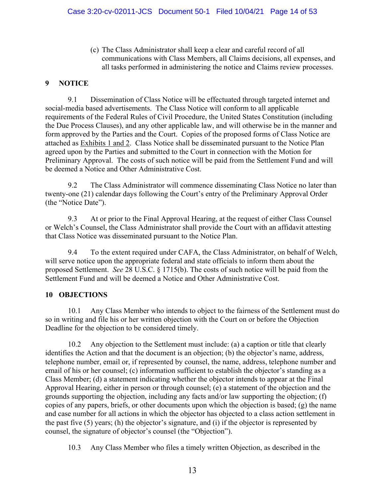(c) The Class Administrator shall keep a clear and careful record of all communications with Class Members, all Claims decisions, all expenses, and all tasks performed in administering the notice and Claims review processes.

### **9 NOTICE**

9.1 Dissemination of Class Notice will be effectuated through targeted internet and social-media based advertisements. The Class Notice will conform to all applicable requirements of the Federal Rules of Civil Procedure, the United States Constitution (including the Due Process Clauses), and any other applicable law, and will otherwise be in the manner and form approved by the Parties and the Court. Copies of the proposed forms of Class Notice are attached as Exhibits 1 and 2. Class Notice shall be disseminated pursuant to the Notice Plan agreed upon by the Parties and submitted to the Court in connection with the Motion for Preliminary Approval. The costs of such notice will be paid from the Settlement Fund and will be deemed a Notice and Other Administrative Cost.

9.2 The Class Administrator will commence disseminating Class Notice no later than twenty-one (21) calendar days following the Court's entry of the Preliminary Approval Order (the "Notice Date").

9.3 At or prior to the Final Approval Hearing, at the request of either Class Counsel or Welch's Counsel, the Class Administrator shall provide the Court with an affidavit attesting that Class Notice was disseminated pursuant to the Notice Plan.

9.4 To the extent required under CAFA, the Class Administrator, on behalf of Welch, will serve notice upon the appropriate federal and state officials to inform them about the proposed Settlement. *See* 28 U.S.C. § 1715(b). The costs of such notice will be paid from the Settlement Fund and will be deemed a Notice and Other Administrative Cost.

#### **10 OBJECTIONS**

10.1 Any Class Member who intends to object to the fairness of the Settlement must do so in writing and file his or her written objection with the Court on or before the Objection Deadline for the objection to be considered timely.

10.2 Any objection to the Settlement must include: (a) a caption or title that clearly identifies the Action and that the document is an objection; (b) the objector's name, address, telephone number, email or, if represented by counsel, the name, address, telephone number and email of his or her counsel; (c) information sufficient to establish the objector's standing as a Class Member; (d) a statement indicating whether the objector intends to appear at the Final Approval Hearing, either in person or through counsel; (e) a statement of the objection and the grounds supporting the objection, including any facts and/or law supporting the objection; (f) copies of any papers, briefs, or other documents upon which the objection is based; (g) the name and case number for all actions in which the objector has objected to a class action settlement in the past five (5) years; (h) the objector's signature, and (i) if the objector is represented by counsel, the signature of objector's counsel (the "Objection").

10.3 Any Class Member who files a timely written Objection, as described in the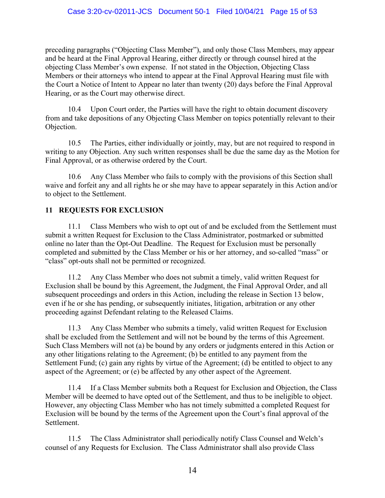preceding paragraphs ("Objecting Class Member"), and only those Class Members, may appear and be heard at the Final Approval Hearing, either directly or through counsel hired at the objecting Class Member's own expense. If not stated in the Objection, Objecting Class Members or their attorneys who intend to appear at the Final Approval Hearing must file with the Court a Notice of Intent to Appear no later than twenty (20) days before the Final Approval Hearing, or as the Court may otherwise direct.

10.4 Upon Court order, the Parties will have the right to obtain document discovery from and take depositions of any Objecting Class Member on topics potentially relevant to their Objection.

10.5 The Parties, either individually or jointly, may, but are not required to respond in writing to any Objection. Any such written responses shall be due the same day as the Motion for Final Approval, or as otherwise ordered by the Court.

10.6 Any Class Member who fails to comply with the provisions of this Section shall waive and forfeit any and all rights he or she may have to appear separately in this Action and/or to object to the Settlement.

# **11 REQUESTS FOR EXCLUSION**

11.1 Class Members who wish to opt out of and be excluded from the Settlement must submit a written Request for Exclusion to the Class Administrator, postmarked or submitted online no later than the Opt-Out Deadline. The Request for Exclusion must be personally completed and submitted by the Class Member or his or her attorney, and so-called "mass" or "class" opt-outs shall not be permitted or recognized.

11.2 Any Class Member who does not submit a timely, valid written Request for Exclusion shall be bound by this Agreement, the Judgment, the Final Approval Order, and all subsequent proceedings and orders in this Action, including the release in Section 13 below, even if he or she has pending, or subsequently initiates, litigation, arbitration or any other proceeding against Defendant relating to the Released Claims.

11.3 Any Class Member who submits a timely, valid written Request for Exclusion shall be excluded from the Settlement and will not be bound by the terms of this Agreement. Such Class Members will not (a) be bound by any orders or judgments entered in this Action or any other litigations relating to the Agreement; (b) be entitled to any payment from the Settlement Fund; (c) gain any rights by virtue of the Agreement; (d) be entitled to object to any aspect of the Agreement; or (e) be affected by any other aspect of the Agreement.

11.4 If a Class Member submits both a Request for Exclusion and Objection, the Class Member will be deemed to have opted out of the Settlement, and thus to be ineligible to object. However, any objecting Class Member who has not timely submitted a completed Request for Exclusion will be bound by the terms of the Agreement upon the Court's final approval of the Settlement.

11.5 The Class Administrator shall periodically notify Class Counsel and Welch's counsel of any Requests for Exclusion. The Class Administrator shall also provide Class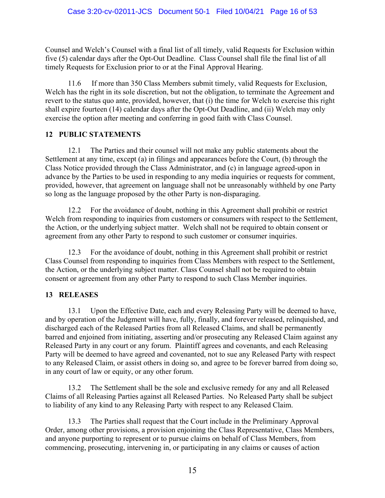Counsel and Welch's Counsel with a final list of all timely, valid Requests for Exclusion within five (5) calendar days after the Opt-Out Deadline. Class Counsel shall file the final list of all timely Requests for Exclusion prior to or at the Final Approval Hearing.

11.6 If more than 350 Class Members submit timely, valid Requests for Exclusion, Welch has the right in its sole discretion, but not the obligation, to terminate the Agreement and revert to the status quo ante, provided, however, that (i) the time for Welch to exercise this right shall expire fourteen (14) calendar days after the Opt-Out Deadline, and (ii) Welch may only exercise the option after meeting and conferring in good faith with Class Counsel.

#### **12 PUBLIC STATEMENTS**

12.1 The Parties and their counsel will not make any public statements about the Settlement at any time, except (a) in filings and appearances before the Court, (b) through the Class Notice provided through the Class Administrator, and (c) in language agreed-upon in advance by the Parties to be used in responding to any media inquiries or requests for comment, provided, however, that agreement on language shall not be unreasonably withheld by one Party so long as the language proposed by the other Party is non-disparaging.

12.2 For the avoidance of doubt, nothing in this Agreement shall prohibit or restrict Welch from responding to inquiries from customers or consumers with respect to the Settlement, the Action, or the underlying subject matter. Welch shall not be required to obtain consent or agreement from any other Party to respond to such customer or consumer inquiries.

12.3 For the avoidance of doubt, nothing in this Agreement shall prohibit or restrict Class Counsel from responding to inquiries from Class Members with respect to the Settlement, the Action, or the underlying subject matter. Class Counsel shall not be required to obtain consent or agreement from any other Party to respond to such Class Member inquiries.

# **13 RELEASES**

13.1 Upon the Effective Date, each and every Releasing Party will be deemed to have, and by operation of the Judgment will have, fully, finally, and forever released, relinquished, and discharged each of the Released Parties from all Released Claims, and shall be permanently barred and enjoined from initiating, asserting and/or prosecuting any Released Claim against any Released Party in any court or any forum. Plaintiff agrees and covenants, and each Releasing Party will be deemed to have agreed and covenanted, not to sue any Released Party with respect to any Released Claim, or assist others in doing so, and agree to be forever barred from doing so, in any court of law or equity, or any other forum.

13.2 The Settlement shall be the sole and exclusive remedy for any and all Released Claims of all Releasing Parties against all Released Parties. No Released Party shall be subject to liability of any kind to any Releasing Party with respect to any Released Claim.

13.3 The Parties shall request that the Court include in the Preliminary Approval Order, among other provisions, a provision enjoining the Class Representative, Class Members, and anyone purporting to represent or to pursue claims on behalf of Class Members, from commencing, prosecuting, intervening in, or participating in any claims or causes of action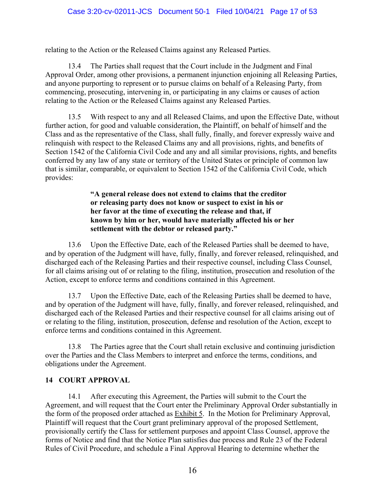relating to the Action or the Released Claims against any Released Parties.

13.4 The Parties shall request that the Court include in the Judgment and Final Approval Order, among other provisions, a permanent injunction enjoining all Releasing Parties, and anyone purporting to represent or to pursue claims on behalf of a Releasing Party, from commencing, prosecuting, intervening in, or participating in any claims or causes of action relating to the Action or the Released Claims against any Released Parties.

13.5 With respect to any and all Released Claims, and upon the Effective Date, without further action, for good and valuable consideration, the Plaintiff, on behalf of himself and the Class and as the representative of the Class, shall fully, finally, and forever expressly waive and relinquish with respect to the Released Claims any and all provisions, rights, and benefits of Section 1542 of the California Civil Code and any and all similar provisions, rights, and benefits conferred by any law of any state or territory of the United States or principle of common law that is similar, comparable, or equivalent to Section 1542 of the California Civil Code, which provides:

> **"A general release does not extend to claims that the creditor or releasing party does not know or suspect to exist in his or her favor at the time of executing the release and that, if known by him or her, would have materially affected his or her settlement with the debtor or released party."**

13.6 Upon the Effective Date, each of the Released Parties shall be deemed to have, and by operation of the Judgment will have, fully, finally, and forever released, relinquished, and discharged each of the Releasing Parties and their respective counsel, including Class Counsel, for all claims arising out of or relating to the filing, institution, prosecution and resolution of the Action, except to enforce terms and conditions contained in this Agreement.

13.7 Upon the Effective Date, each of the Releasing Parties shall be deemed to have, and by operation of the Judgment will have, fully, finally, and forever released, relinquished, and discharged each of the Released Parties and their respective counsel for all claims arising out of or relating to the filing, institution, prosecution, defense and resolution of the Action, except to enforce terms and conditions contained in this Agreement.

13.8 The Parties agree that the Court shall retain exclusive and continuing jurisdiction over the Parties and the Class Members to interpret and enforce the terms, conditions, and obligations under the Agreement.

#### **14 COURT APPROVAL**

14.1 After executing this Agreement, the Parties will submit to the Court the Agreement, and will request that the Court enter the Preliminary Approval Order substantially in the form of the proposed order attached as Exhibit 5. In the Motion for Preliminary Approval, Plaintiff will request that the Court grant preliminary approval of the proposed Settlement, provisionally certify the Class for settlement purposes and appoint Class Counsel, approve the forms of Notice and find that the Notice Plan satisfies due process and Rule 23 of the Federal Rules of Civil Procedure, and schedule a Final Approval Hearing to determine whether the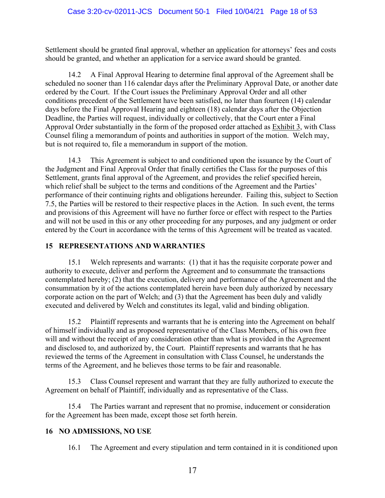Settlement should be granted final approval, whether an application for attorneys' fees and costs should be granted, and whether an application for a service award should be granted.

14.2 A Final Approval Hearing to determine final approval of the Agreement shall be scheduled no sooner than 116 calendar days after the Preliminary Approval Date, or another date ordered by the Court. If the Court issues the Preliminary Approval Order and all other conditions precedent of the Settlement have been satisfied, no later than fourteen (14) calendar days before the Final Approval Hearing and eighteen (18) calendar days after the Objection Deadline, the Parties will request, individually or collectively, that the Court enter a Final Approval Order substantially in the form of the proposed order attached as Exhibit 3, with Class Counsel filing a memorandum of points and authorities in support of the motion. Welch may, but is not required to, file a memorandum in support of the motion.

14.3 This Agreement is subject to and conditioned upon the issuance by the Court of the Judgment and Final Approval Order that finally certifies the Class for the purposes of this Settlement, grants final approval of the Agreement, and provides the relief specified herein, which relief shall be subject to the terms and conditions of the Agreement and the Parties' performance of their continuing rights and obligations hereunder. Failing this, subject to Section 7.5, the Parties will be restored to their respective places in the Action. In such event, the terms and provisions of this Agreement will have no further force or effect with respect to the Parties and will not be used in this or any other proceeding for any purposes, and any judgment or order entered by the Court in accordance with the terms of this Agreement will be treated as vacated.

# **15 REPRESENTATIONS AND WARRANTIES**

15.1 Welch represents and warrants: (1) that it has the requisite corporate power and authority to execute, deliver and perform the Agreement and to consummate the transactions contemplated hereby; (2) that the execution, delivery and performance of the Agreement and the consummation by it of the actions contemplated herein have been duly authorized by necessary corporate action on the part of Welch; and (3) that the Agreement has been duly and validly executed and delivered by Welch and constitutes its legal, valid and binding obligation.

15.2 Plaintiff represents and warrants that he is entering into the Agreement on behalf of himself individually and as proposed representative of the Class Members, of his own free will and without the receipt of any consideration other than what is provided in the Agreement and disclosed to, and authorized by, the Court. Plaintiff represents and warrants that he has reviewed the terms of the Agreement in consultation with Class Counsel, he understands the terms of the Agreement, and he believes those terms to be fair and reasonable.

15.3 Class Counsel represent and warrant that they are fully authorized to execute the Agreement on behalf of Plaintiff, individually and as representative of the Class.

15.4 The Parties warrant and represent that no promise, inducement or consideration for the Agreement has been made, except those set forth herein.

# **16 NO ADMISSIONS, NO USE**

16.1 The Agreement and every stipulation and term contained in it is conditioned upon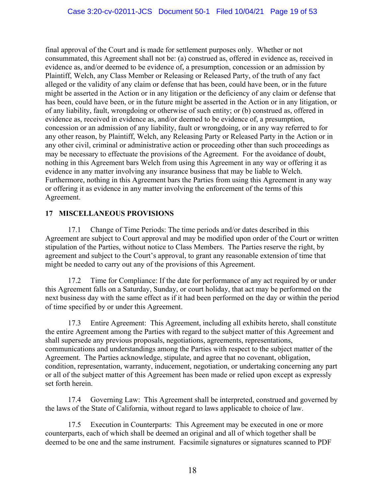final approval of the Court and is made for settlement purposes only. Whether or not consummated, this Agreement shall not be: (a) construed as, offered in evidence as, received in evidence as, and/or deemed to be evidence of, a presumption, concession or an admission by Plaintiff, Welch, any Class Member or Releasing or Released Party, of the truth of any fact alleged or the validity of any claim or defense that has been, could have been, or in the future might be asserted in the Action or in any litigation or the deficiency of any claim or defense that has been, could have been, or in the future might be asserted in the Action or in any litigation, or of any liability, fault, wrongdoing or otherwise of such entity; or (b) construed as, offered in evidence as, received in evidence as, and/or deemed to be evidence of, a presumption, concession or an admission of any liability, fault or wrongdoing, or in any way referred to for any other reason, by Plaintiff, Welch, any Releasing Party or Released Party in the Action or in any other civil, criminal or administrative action or proceeding other than such proceedings as may be necessary to effectuate the provisions of the Agreement. For the avoidance of doubt, nothing in this Agreement bars Welch from using this Agreement in any way or offering it as evidence in any matter involving any insurance business that may be liable to Welch. Furthermore, nothing in this Agreement bars the Parties from using this Agreement in any way or offering it as evidence in any matter involving the enforcement of the terms of this Agreement.

### **17 MISCELLANEOUS PROVISIONS**

17.1 Change of Time Periods: The time periods and/or dates described in this Agreement are subject to Court approval and may be modified upon order of the Court or written stipulation of the Parties, without notice to Class Members. The Parties reserve the right, by agreement and subject to the Court's approval, to grant any reasonable extension of time that might be needed to carry out any of the provisions of this Agreement.

17.2 Time for Compliance: If the date for performance of any act required by or under this Agreement falls on a Saturday, Sunday, or court holiday, that act may be performed on the next business day with the same effect as if it had been performed on the day or within the period of time specified by or under this Agreement.

17.3 Entire Agreement: This Agreement, including all exhibits hereto, shall constitute the entire Agreement among the Parties with regard to the subject matter of this Agreement and shall supersede any previous proposals, negotiations, agreements, representations, communications and understandings among the Parties with respect to the subject matter of the Agreement. The Parties acknowledge, stipulate, and agree that no covenant, obligation, condition, representation, warranty, inducement, negotiation, or undertaking concerning any part or all of the subject matter of this Agreement has been made or relied upon except as expressly set forth herein.

17.4 Governing Law: This Agreement shall be interpreted, construed and governed by the laws of the State of California, without regard to laws applicable to choice of law.

17.5 Execution in Counterparts: This Agreement may be executed in one or more counterparts, each of which shall be deemed an original and all of which together shall be deemed to be one and the same instrument. Facsimile signatures or signatures scanned to PDF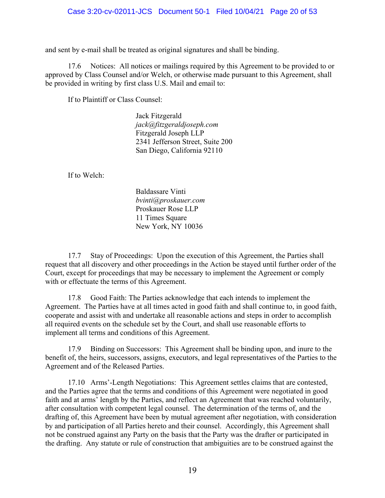and sent by e-mail shall be treated as original signatures and shall be binding.

17.6 Notices: All notices or mailings required by this Agreement to be provided to or approved by Class Counsel and/or Welch, or otherwise made pursuant to this Agreement, shall be provided in writing by first class U.S. Mail and email to:

If to Plaintiff or Class Counsel:

Jack Fitzgerald *jack@fitzgeraldjoseph.com*  Fitzgerald Joseph LLP 2341 Jefferson Street, Suite 200 San Diego, California 92110

If to Welch:

Baldassare Vinti *bvinti@proskauer.com*  Proskauer Rose LLP 11 Times Square New York, NY 10036

17.7 Stay of Proceedings: Upon the execution of this Agreement, the Parties shall request that all discovery and other proceedings in the Action be stayed until further order of the Court, except for proceedings that may be necessary to implement the Agreement or comply with or effectuate the terms of this Agreement.

17.8 Good Faith: The Parties acknowledge that each intends to implement the Agreement. The Parties have at all times acted in good faith and shall continue to, in good faith, cooperate and assist with and undertake all reasonable actions and steps in order to accomplish all required events on the schedule set by the Court, and shall use reasonable efforts to implement all terms and conditions of this Agreement.

17.9 Binding on Successors: This Agreement shall be binding upon, and inure to the benefit of, the heirs, successors, assigns, executors, and legal representatives of the Parties to the Agreement and of the Released Parties.

17.10 Arms'-Length Negotiations: This Agreement settles claims that are contested, and the Parties agree that the terms and conditions of this Agreement were negotiated in good faith and at arms' length by the Parties, and reflect an Agreement that was reached voluntarily, after consultation with competent legal counsel. The determination of the terms of, and the drafting of, this Agreement have been by mutual agreement after negotiation, with consideration by and participation of all Parties hereto and their counsel. Accordingly, this Agreement shall not be construed against any Party on the basis that the Party was the drafter or participated in the drafting. Any statute or rule of construction that ambiguities are to be construed against the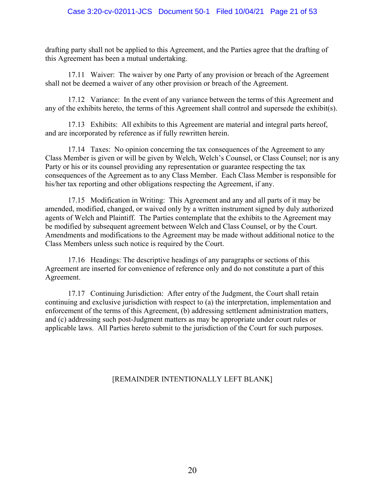drafting party shall not be applied to this Agreement, and the Parties agree that the drafting of this Agreement has been a mutual undertaking.

17.11 Waiver: The waiver by one Party of any provision or breach of the Agreement shall not be deemed a waiver of any other provision or breach of the Agreement.

17.12 Variance: In the event of any variance between the terms of this Agreement and any of the exhibits hereto, the terms of this Agreement shall control and supersede the exhibit(s).

17.13 Exhibits: All exhibits to this Agreement are material and integral parts hereof, and are incorporated by reference as if fully rewritten herein.

17.14 Taxes: No opinion concerning the tax consequences of the Agreement to any Class Member is given or will be given by Welch, Welch's Counsel, or Class Counsel; nor is any Party or his or its counsel providing any representation or guarantee respecting the tax consequences of the Agreement as to any Class Member. Each Class Member is responsible for his/her tax reporting and other obligations respecting the Agreement, if any.

17.15 Modification in Writing: This Agreement and any and all parts of it may be amended, modified, changed, or waived only by a written instrument signed by duly authorized agents of Welch and Plaintiff. The Parties contemplate that the exhibits to the Agreement may be modified by subsequent agreement between Welch and Class Counsel, or by the Court. Amendments and modifications to the Agreement may be made without additional notice to the Class Members unless such notice is required by the Court.

17.16 Headings: The descriptive headings of any paragraphs or sections of this Agreement are inserted for convenience of reference only and do not constitute a part of this Agreement.

17.17 Continuing Jurisdiction: After entry of the Judgment, the Court shall retain continuing and exclusive jurisdiction with respect to (a) the interpretation, implementation and enforcement of the terms of this Agreement, (b) addressing settlement administration matters, and (c) addressing such post-Judgment matters as may be appropriate under court rules or applicable laws. All Parties hereto submit to the jurisdiction of the Court for such purposes.

#### [REMAINDER INTENTIONALLY LEFT BLANK]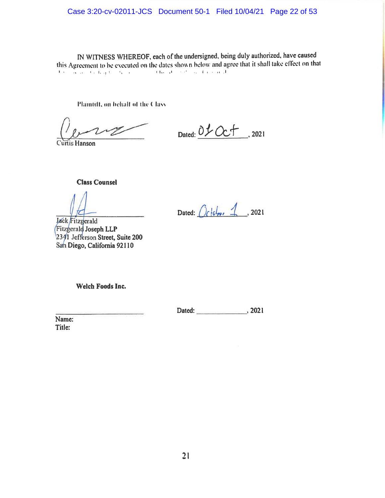IN WITNESS WHEREOF, each of the undersigned, being duly authorized, have caused this Agreement to be executed on the dates shown below and agree that it shall take effect on that the basis to hapten the control of the above the control of the control of the control of the control of the control of the control of the control of the control of the control of the control of the control of the control

Plaintiff, on behalf of the Class.

Curtis Hanson

Dated: 01 Oct . 2021

**Class Counsel** 

Dated:  $Ochbsc 1$ , 2021

Jack Fitzgerald Fitzgerald Joseph LLP 2341 Jefferson Street, Suite 200 San Diego, California 92110

Welch Foods Inc.

Dated: 2021

Name: Title: